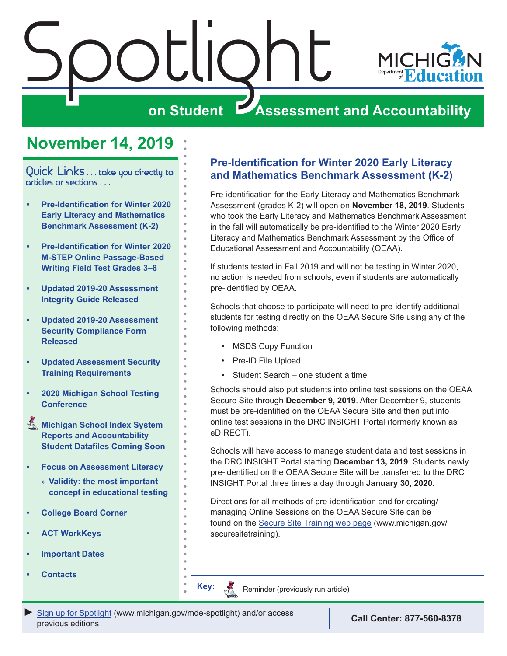<span id="page-0-0"></span>

# **November 14, 2019**

Quick Links . . . take you directly to articles or sections . . .

- **• Pre-Identification for Winter 2020 Early Literacy and Mathematics Benchmark Assessment (K-2)**
- **• [Pre-Identification for Winter 2020](#page-1-0)  [M-STEP Online Passage-Based](#page-1-0)  [Writing Field Test Grades 3–8](#page-1-0)**
- **• [Updated 2019-20 Assessment](#page-1-0)  [Integrity Guide Released](#page-1-0)**
- **• [Updated 2019-20 Assessment](#page-1-0)  [Security Compliance Form](#page-1-0)  [Released](#page-1-0)**
- **• [Updated Assessment Security](#page-1-0)  [Training Requirements](#page-1-0)**
- **• [2020 Michigan School Testing](#page-2-0)  [Conference](#page-2-0)**
- **Michigan School Index System [Reports and Accountability](#page-3-0)  [Student Datafiles Coming Soon](#page-3-0)**
- **• [Focus on Assessment Literacy](#page-4-0)**
	- » **[Validity: the most important](#page-4-0)  [concept in educational testing](#page-4-0)**
- **• [College Board Corner](#page-5-0)**
- **• [ACT WorkKeys](#page-7-0)**
- **• [Important Dates](#page-9-0)**
- **• [Contacts](#page-10-0)**

## **Pre-Identification for Winter 2020 Early Literacy and Mathematics Benchmark Assessment (K-2)**

Pre-identification for the Early Literacy and Mathematics Benchmark Assessment (grades K-2) will open on **November 18, 2019**. Students who took the Early Literacy and Mathematics Benchmark Assessment in the fall will automatically be pre-identified to the Winter 2020 Early Literacy and Mathematics Benchmark Assessment by the Office of Educational Assessment and Accountability (OEAA).

If students tested in Fall 2019 and will not be testing in Winter 2020, no action is needed from schools, even if students are automatically pre-identified by OEAA.

Schools that choose to participate will need to pre-identify additional students for testing directly on the OEAA Secure Site using any of the following methods:

- MSDS Copy Function
- Pre-ID File Upload
- Student Search one student a time

Schools should also put students into online test sessions on the OEAA Secure Site through **December 9, 2019**. After December 9, students must be pre-identified on the OEAA Secure Site and then put into online test sessions in the DRC INSIGHT Portal (formerly known as eDIRECT).

Schools will have access to manage student data and test sessions in the DRC INSIGHT Portal starting **December 13, 2019**. Students newly pre-identified on the OEAA Secure Site will be transferred to the DRC INSIGHT Portal three times a day through **January 30, 2020**.

Directions for all methods of pre-identification and for creating/ managing Online Sessions on the OEAA Secure Site can be found on the [Secure Site Training web page](http://www.michigan.gov/securesitetraining) (www.michigan.gov/ securesitetraining).

Reminder (previously run article)

*►* [Sign up for Spotlight](https://public.govdelivery.com/accounts/MIMDE/subscriber/new) ([www.michigan.gov/mde-](www.michigan.gov/mde-spotlight)spotlight) and/or access previous editions **Call Center: 877-560-8378**

**Key:**

Reminders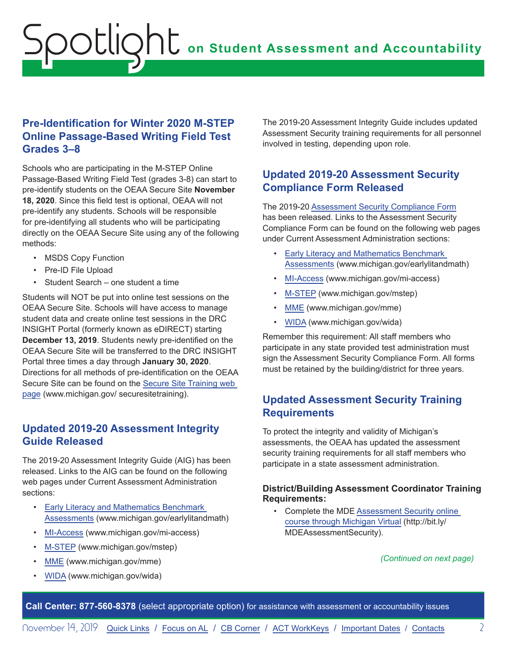# <span id="page-1-0"></span>**on Student Assessment and Accountability** Spotlight

## **Pre-Identification for Winter 2020 M-STEP Online Passage-Based Writing Field Test Grades 3–8**

Schools who are participating in the M-STEP Online Passage-Based Writing Field Test (grades 3-8) can start to pre-identify students on the OEAA Secure Site **November 18, 2020**. Since this field test is optional, OEAA will not pre-identify any students. Schools will be responsible for pre-identifying all students who will be participating directly on the OEAA Secure Site using any of the following methods:

- MSDS Copy Function
- Pre-ID File Upload
- Student Search one student a time

Students will NOT be put into online test sessions on the OEAA Secure Site. Schools will have access to manage student data and create online test sessions in the DRC INSIGHT Portal (formerly known as eDIRECT) starting **December 13, 2019**. Students newly pre-identified on the OEAA Secure Site will be transferred to the DRC INSIGHT Portal three times a day through **January 30, 2020**. Directions for all methods of pre-identification on the OEAA Secure Site can be found on the [Secure Site Training web](http://www.michigan.gov/securesitetraining)  [page](http://www.michigan.gov/securesitetraining) (www.michigan.gov/ securesitetraining).

### **Updated 2019-20 Assessment Integrity Guide Released**

The 2019-20 Assessment Integrity Guide (AIG) has been released. Links to the AIG can be found on the following web pages under Current Assessment Administration sections:

- [Early Literacy and Mathematics Benchmark](www.michigan.gov/earlylitandmath)  [Assessments](www.michigan.gov/earlylitandmath) (www.michigan.gov/earlylitandmath)
- [MI-Access](http://www.michigan.gov/mi-access) (www.michigan.gov/mi-access)
- [M-STEP](www.michigan.gov/mstep) (www.michigan.gov/mstep)
- [MME](www.michigan.gov/mme) (www.michigan.gov/mme)
- [WIDA](www.michigan.gov/wida) (www.michigan.gov/wida)

The 2019-20 Assessment Integrity Guide includes updated Assessment Security training requirements for all personnel involved in testing, depending upon role.

### **Updated 2019-20 Assessment Security Compliance Form Released**

The 2019-20 [Assessment Security Compliance Form](https://www.michigan.gov/documents/mde/OEAA_Security_Compliance_Form_634992_7.pdf) has been released. Links to the Assessment Security Compliance Form can be found on the following web pages under Current Assessment Administration sections:

- [Early Literacy and Mathematics Benchmark](www.michigan.gov/earlylitandmath)  [Assessments](www.michigan.gov/earlylitandmath) (www.michigan.gov/earlylitandmath)
- [MI-Access](http://www.michigan.gov/mi-access) (www.michigan.gov/mi-access)
- [M-STEP](www.michigan.gov/mstep) (www.michigan.gov/mstep)
- [MME](www.michigan.gov/mme) (www.michigan.gov/mme)
- [WIDA](www.michigan.gov/wida) (www.michigan.gov/wida)

Remember this requirement: All staff members who participate in any state provided test administration must sign the Assessment Security Compliance Form. All forms must be retained by the building/district for three years.

## **Updated Assessment Security Training Requirements**

To protect the integrity and validity of Michigan's assessments, the OEAA has updated the assessment security training requirements for all staff members who participate in a state assessment administration.

### **District/Building Assessment Coordinator Training Requirements:**

• [Complete the MDE Assessment Security online](http://bit.ly/MDEAssessmentSecurity)  [course through Michigan Virtual](http://bit.ly/MDEAssessmentSecurity) (http://bit.ly/ MDEAssessmentSecurity).

*(Continued on next page)*

**Call Center: 877-560-8378** (select appropriate option) for assistance with assessment or accountability issues

November 14, 2019 [Quick Links](#page-0-0) / [Focus on AL](#page-4-0) / [CB Corner](#page-5-1) / [ACT WorkKeys](#page-7-0) / [Important Dates](#page-9-1) / [Contacts](#page-10-1) 2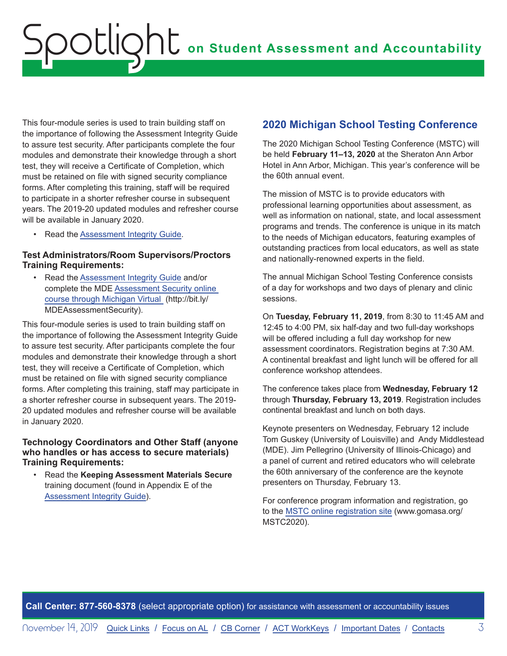<span id="page-2-0"></span>This four-module series is used to train building staff on the importance of following the Assessment Integrity Guide to assure test security. After participants complete the four modules and demonstrate their knowledge through a short test, they will receive a Certificate of Completion, which must be retained on file with signed security compliance forms. After completing this training, staff will be required to participate in a shorter refresher course in subsequent years. The 2019-20 updated modules and refresher course will be available in January 2020.

• Read the [Assessment Integrity Guide](https://www.michigan.gov/documents/mde/Assessment_Integrity_Guide_291950_7.pdf).

### **Test Administrators/Room Supervisors/Proctors Training Requirements:**

• Read the [Assessment Integrity Guide](https://www.michigan.gov/documents/mde/Assessment_Integrity_Guide_291950_7.pdf) and/or complete the MDE [Assessment Security online](http://bit.ly/MDEAssessmentSecurity)  [course through Michigan Virtual](http://bit.ly/MDEAssessmentSecurity) (http://bit.ly/ MDEAssessmentSecurity).

This four-module series is used to train building staff on the importance of following the Assessment Integrity Guide to assure test security. After participants complete the four modules and demonstrate their knowledge through a short test, they will receive a Certificate of Completion, which must be retained on file with signed security compliance forms. After completing this training, staff may participate in a shorter refresher course in subsequent years. The 2019- 20 updated modules and refresher course will be available in January 2020.

#### **Technology Coordinators and Other Staff (anyone who handles or has access to secure materials) Training Requirements:**

• Read the **Keeping Assessment Materials Secure** training document (found in Appendix E of the [Assessment Integrity Guide](https://www.michigan.gov/documents/mde/Assessment_Integrity_Guide_291950_7.pdf)).

### **2020 Michigan School Testing Conference**

The 2020 Michigan School Testing Conference (MSTC) will be held **February 11–13, 2020** at the Sheraton Ann Arbor Hotel in Ann Arbor, Michigan. This year's conference will be the 60th annual event.

The mission of MSTC is to provide educators with professional learning opportunities about assessment, as well as information on national, state, and local assessment programs and trends. The conference is unique in its match to the needs of Michigan educators, featuring examples of outstanding practices from local educators, as well as state and nationally-renowned experts in the field.

The annual Michigan School Testing Conference consists of a day for workshops and two days of plenary and clinic sessions.

On **Tuesday, February 11, 2019**, from 8:30 to 11:45 AM and 12:45 to 4:00 PM, six half-day and two full-day workshops will be offered including a full day workshop for new assessment coordinators. Registration begins at 7:30 AM. A continental breakfast and light lunch will be offered for all conference workshop attendees.

The conference takes place from **Wednesday, February 12** through **Thursday, February 13, 2019**. Registration includes continental breakfast and lunch on both days.

Keynote presenters on Wednesday, February 12 include Tom Guskey (University of Louisville) and Andy Middlestead (MDE). Jim Pellegrino (University of Illinois-Chicago) and a panel of current and retired educators who will celebrate the 60th anniversary of the conference are the keynote presenters on Thursday, February 13.

For conference program information and registration, go to the [MSTC online registration site](http://www.gomasa.org/MSTC2020) (www.gomasa.org/ MSTC2020).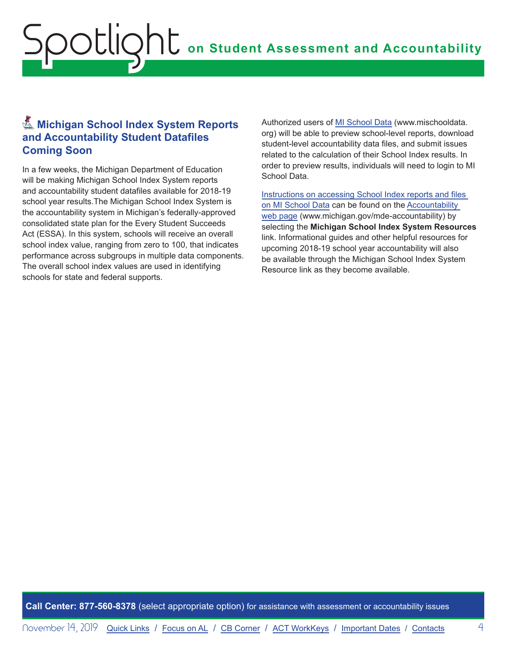# <span id="page-3-0"></span>**K** Michigan School Index System Reports **and Accountability Student Datafiles Coming Soon**

In a few weeks, the Michigan Department of Education will be making Michigan School Index System reports and accountability student datafiles available for 2018-19 school year results.The Michigan School Index System is the accountability system in Michigan's federally-approved consolidated state plan for the Every Student Succeeds Act (ESSA). In this system, schools will receive an overall school index value, ranging from zero to 100, that indicates performance across subgroups in multiple data components. The overall school index values are used in identifying schools for state and federal supports.

Authorized users of [MI School Data](http://www.mischooldata.org) (www.mischooldata. org) will be able to preview school-level reports, download student-level accountability data files, and submit issues related to the calculation of their School Index results. In order to preview results, individuals will need to login to MI School Data.

[Instructions on accessing School Index reports and files](https://www.michigan.gov/documents/mde/Accountability_Access_and_Download_Instructions_645324_7.pdf.)  [on MI School Data](https://www.michigan.gov/documents/mde/Accountability_Access_and_Download_Instructions_645324_7.pdf.) can be found on the [Accountability](http://www.mi.gov/mde-accountability)  [web page](http://www.mi.gov/mde-accountability) (www.michigan.gov/mde-accountability) by selecting the **Michigan School Index System Resources** link. Informational guides and other helpful resources for upcoming 2018-19 school year accountability will also be available through the Michigan School Index System Resource link as they become available.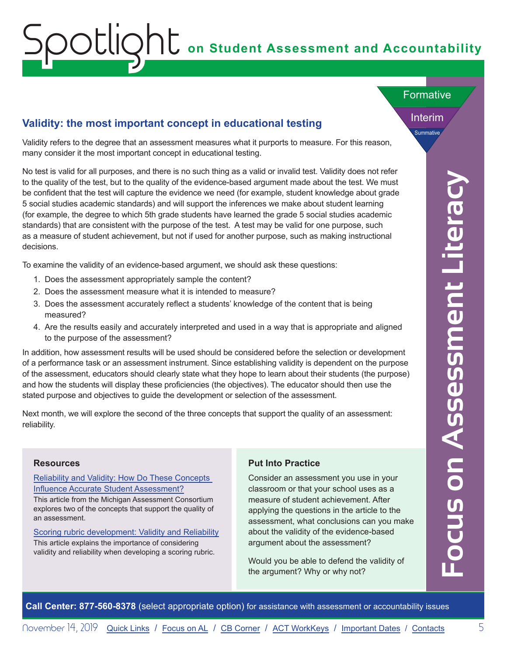# <span id="page-4-0"></span>**on Student Assessment and Accountability** Spotlight

### **Validity: the most important concept in educational testing**

Validity refers to the degree that an assessment measures what it purports to measure. For this reason, many consider it the most important concept in educational testing.

**Select with the transmit center is and the select appropriate or account of the select appropriate of the select appropriate of the select appropriate of the select appropriate of the select appropriate that the select ap** No test is valid for all purposes, and there is no such thing as a valid or invalid test. Validity does not refer to the quality of the test, but to the quality of the evidence-based argument made about the test. We must be confident that the test will capture the evidence we need (for example, student knowledge about grade 5 social studies academic standards) and will support the inferences we make about student learning (for example, the degree to which 5th grade students have learned the grade 5 social studies academic standards) that are consistent with the purpose of the test. A test may be valid for one purpose, such as a measure of student achievement, but not if used for another purpose, such as making instructional decisions.

To examine the validity of an evidence-based argument, we should ask these questions:

- 1. Does the assessment appropriately sample the content?
- 2. Does the assessment measure what it is intended to measure?
- 3. Does the assessment accurately reflect a students' knowledge of the content that is being measured?
- 4. Are the results easily and accurately interpreted and used in a way that is appropriate and aligned to the purpose of the assessment?

In addition, how assessment results will be used should be considered before the selection or development of a performance task or an assessment instrument. Since establishing validity is dependent on the purpose of the assessment, educators should clearly state what they hope to learn about their students (the purpose) and how the students will display these proficiencies (the objectives). The educator should then use the stated purpose and objectives to guide the development or selection of the assessment.

Next month, we will explore the second of the three concepts that support the quality of an assessment: reliability.

#### **Resources**

### [Reliability and Validity: How Do These Concepts](https://www.michiganassessmentconsortium.org/wp-content/uploads/LP_RELIABILITY-VALIDITY.pdf)  [Influence Accurate Student Assessment?](https://www.michiganassessmentconsortium.org/wp-content/uploads/LP_RELIABILITY-VALIDITY.pdf)

This article from the Michigan Assessment Consortium explores two of the concepts that support the quality of an assessment.

[Scoring rubric development: Validity and Reliability](https://pareonline.net/getvn.asp?v=7&n=10) This article explains the importance of considering validity and reliability when developing a scoring rubric.

### **Put Into Practice**

Consider an assessment you use in your classroom or that your school uses as a measure of student achievement. After applying the questions in the article to the assessment, what conclusions can you make about the validity of the evidence-based argument about the assessment?

Would you be able to defend the validity of the argument? Why or why not?

Interim

**Summative** 

Formative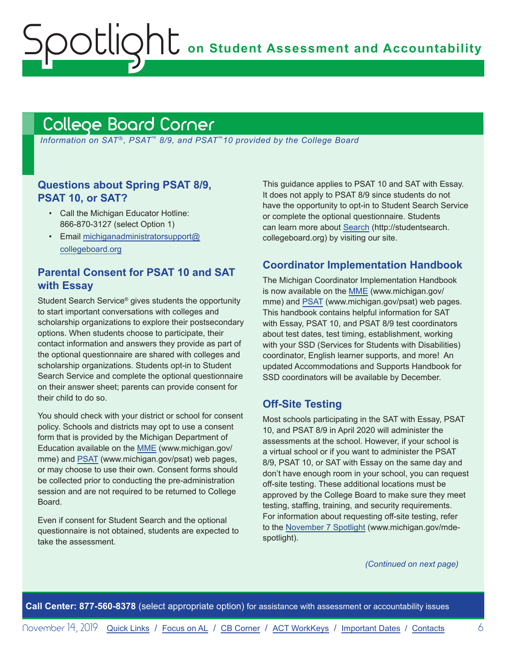**on Student Assessment and Accountability**

# <span id="page-5-1"></span>College Board Corner

<span id="page-5-0"></span>Spotlight

*Information on SAT*®*, PSAT*™ *8/9, and PSAT*™*10 provided by the College Board*

### **Questions about Spring PSAT 8/9, PSAT 10, or SAT?**

- Call the Michigan Educator Hotline: 866-870-3127 (select Option 1)
- Email [michiganadministratorsupport@](mailto:michiganadministratorsupport%40collegeboard.org?subject=) [collegeboard.org](mailto:michiganadministratorsupport%40collegeboard.org?subject=)

### **Parental Consent for PSAT 10 and SAT with Essay**

Student Search Service® gives students the opportunity to start important conversations with colleges and scholarship organizations to explore their postsecondary options. When students choose to participate, their contact information and answers they provide as part of the optional questionnaire are shared with colleges and scholarship organizations. Students opt-in to Student Search Service and complete the optional questionnaire on their answer sheet; parents can provide consent for their child to do so.

You should check with your district or school for consent policy. Schools and districts may opt to use a consent form that is provided by the Michigan Department of Education available on the [MME](www.michigan.gov/mme) (www.michigan.gov/ mme) and [PSAT](http://www.michigan.gov/psat) (www.michigan.gov/psat) web pages, or may choose to use their own. Consent forms should be collected prior to conducting the pre-administration session and are not required to be returned to College Board.

Even if consent for Student Search and the optional questionnaire is not obtained, students are expected to take the assessment.

This guidance applies to PSAT 10 and SAT with Essay. It does not apply to PSAT 8/9 since students do not have the opportunity to opt-in to Student Search Service or complete the optional questionnaire. Students can learn more about [Search](http://studentsearch.collegeboard.org) (http://studentsearch. collegeboard.org) by visiting our site.

### **Coordinator Implementation Handbook**

The Michigan Coordinator Implementation Handbook is now available on the [MME](www.michigan.gov/mme) (www.michigan.gov/ mme) and [PSAT](http://www.michigan.gov/psat) (www.michigan.gov/psat) web pages. This handbook contains helpful information for SAT with Essay, PSAT 10, and PSAT 8/9 test coordinators about test dates, test timing, establishment, working with your SSD (Services for Students with Disabilities) coordinator, English learner supports, and more! An updated Accommodations and Supports Handbook for SSD coordinators will be available by December.

### **Off-Site Testing**

Most schools participating in the SAT with Essay, PSAT 10, and PSAT 8/9 in April 2020 will administer the assessments at the school. However, if your school is a virtual school or if you want to administer the PSAT 8/9, PSAT 10, or SAT with Essay on the same day and don't have enough room in your school, you can request off-site testing. These additional locations must be approved by the College Board to make sure they meet testing, staffing, training, and security requirements. For information about requesting off-site testing, refer to the [November 7 Spotlight](https://www.michigan.gov/documents/mde/Spotlight_11-7-19_670956_7.pdf) (www.michigan.gov/mdespotlight).

*(Continued on next page)*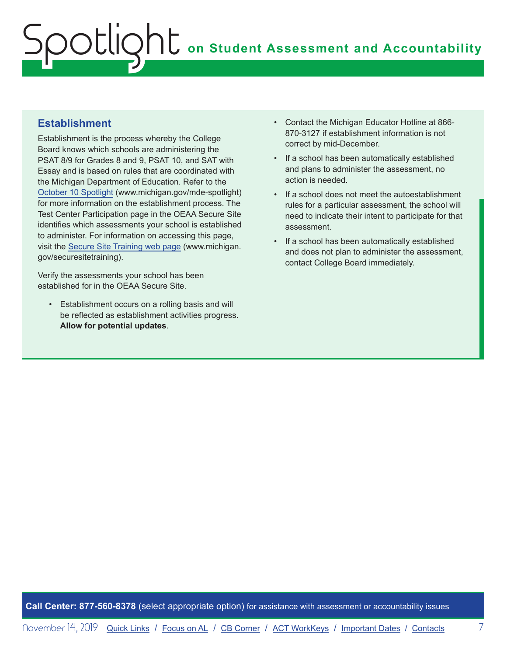# **ONU** on Student Assessment and Accountability potlic

### **Establishment**

Establishment is the process whereby the College Board knows which schools are administering the PSAT 8/9 for Grades 8 and 9, PSAT 10, and SAT with Essay and is based on rules that are coordinated with the Michigan Department of Education. Refer to the [October 10 Spotlight](https://www.michigan.gov/documents/mde/Spotlight_10-10-19_668320_7.pdf) (www.michigan.gov/mde-spotlight) for more information on the establishment process. The Test Center Participation page in the OEAA Secure Site identifies which assessments your school is established to administer. For information on accessing this page, visit the [Secure Site Training web page](http://www.michigan.gov/securesitetraining) (www.michigan. gov/securesitetraining).

Verify the assessments your school has been established for in the OEAA Secure Site.

• Establishment occurs on a rolling basis and will be reflected as establishment activities progress. **Allow for potential updates**.

- Contact the Michigan Educator Hotline at 866- 870-3127 if establishment information is not correct by mid-December.
- If a school has been automatically established and plans to administer the assessment, no action is needed.
- If a school does not meet the autoestablishment rules for a particular assessment, the school will need to indicate their intent to participate for that assessment.
- If a school has been automatically established and does not plan to administer the assessment, contact College Board immediately.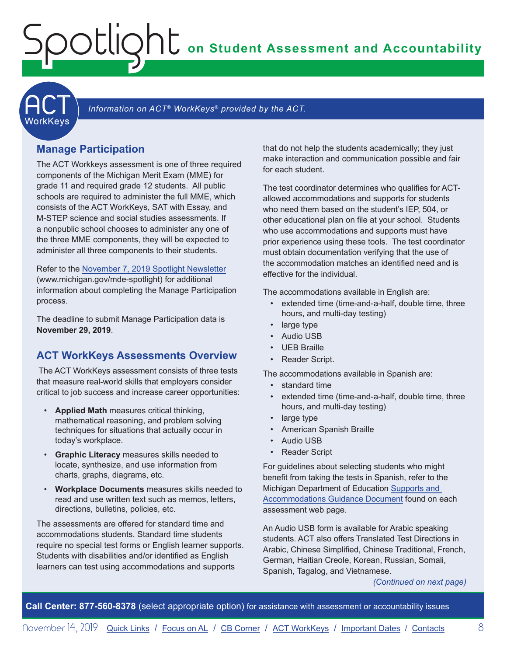**on Student Assessment and Accountability**

**ACT** 

#### Information on ACT<sup>®</sup> WorkKeys<sup>®</sup> provided by the ACT.

### **Manage Participation**

<span id="page-7-0"></span>Spotlight

The ACT Workkeys assessment is one of three required components of the Michigan Merit Exam (MME) for grade 11 and required grade 12 students. All public schools are required to administer the full MME, which consists of the ACT WorkKeys, SAT with Essay, and M-STEP science and social studies assessments. If a nonpublic school chooses to administer any one of the three MME components, they will be expected to administer all three components to their students.

Refer to the [November 7, 2019 Spotlight Newsletter](https://www.michigan.gov/documents/mde/Spotlight_11-7-19_670956_7.pdf) (www.michigan.gov/mde-spotlight) for additional information about completing the Manage Participation process.

The deadline to submit Manage Participation data is **November 29, 2019**.

### **ACT WorkKeys Assessments Overview**

 The ACT WorkKeys assessment consists of three tests that measure real-world skills that employers consider critical to job success and increase career opportunities:

- **Applied Math** measures critical thinking, mathematical reasoning, and problem solving techniques for situations that actually occur in today's workplace.
- **Graphic Literacy** measures skills needed to locate, synthesize, and use information from charts, graphs, diagrams, etc.
- **Workplace Documents** measures skills needed to read and use written text such as memos, letters, directions, bulletins, policies, etc.

The assessments are offered for standard time and accommodations students. Standard time students require no special test forms or English learner supports. Students with disabilities and/or identified as English learners can test using accommodations and supports

that do not help the students academically; they just make interaction and communication possible and fair for each student.

The test coordinator determines who qualifies for ACTallowed accommodations and supports for students who need them based on the student's IEP, 504, or other educational plan on file at your school. Students who use accommodations and supports must have prior experience using these tools. The test coordinator must obtain documentation verifying that the use of the accommodation matches an identified need and is effective for the individual.

The accommodations available in English are:

- extended time (time-and-a-half, double time, three hours, and multi-day testing)
- large type
- Audio USB
- UEB Braille
- Reader Script.

The accommodations available in Spanish are:

- standard time
- extended time (time-and-a-half, double time, three hours, and multi-day testing)
- large type
- American Spanish Braille
- Audio USB
- Reader Script

For guidelines about selecting students who might benefit from taking the tests in Spanish, refer to the Michigan Department of Education [Supports and](https://www.michigan.gov/documents/mde/Michigan_Accommodations_Manual.final_480016_7.pdf)  [Accommodations Guidance Document](https://www.michigan.gov/documents/mde/Michigan_Accommodations_Manual.final_480016_7.pdf) found on each assessment web page.

An Audio USB form is available for Arabic speaking students. ACT also offers Translated Test Directions in Arabic, Chinese Simplified, Chinese Traditional, French, German, Haitian Creole, Korean, Russian, Somali, Spanish, Tagalog, and Vietnamese.

*(Continued on next page)*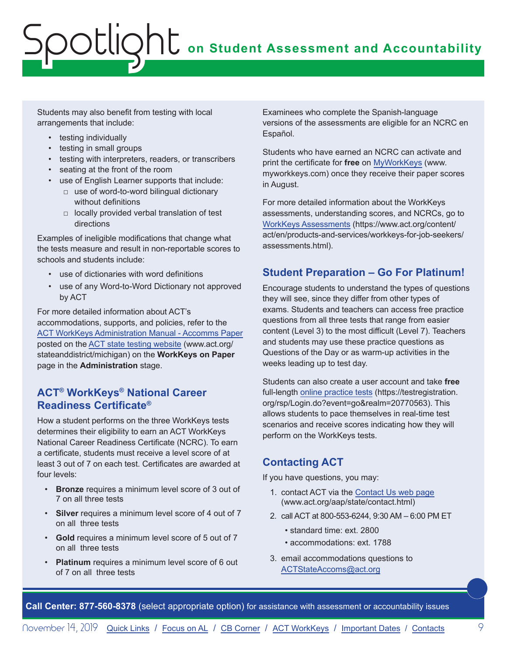# **On Student Assessment and Accountability** potlig

Students may also benefit from testing with local arrangements that include:

- testing individually
- testing in small groups
- testing with interpreters, readers, or transcribers
- seating at the front of the room
- use of English Learner supports that include:
	- □ use of word-to-word bilingual dictionary without definitions
	- □ locally provided verbal translation of test directions

Examples of ineligible modifications that change what the tests measure and result in non-reportable scores to schools and students include:

- use of dictionaries with word definitions
- use of any Word-to-Word Dictionary not approved by ACT

For more detailed information about ACT's accommodations, supports, and policies, refer to the [ACT WorkKeys Administration Manual - Accomms Paper](http://www.act.org/content/dam/act/secured/documents/pdfs/WK-Admin-SD-Accoms-Secured.pdf) posted on the [ACT state testing website](http://www.act.org/stateanddistrict/michigan) (www.act.org/ stateanddistrict/michigan) on the **WorkKeys on Paper** page in the **Administration** stage.

### **ACT® WorkKeys® National Career Readiness Certificate®**

How a student performs on the three WorkKeys tests determines their eligibility to earn an ACT WorkKeys National Career Readiness Certificate (NCRC). To earn a certificate, students must receive a level score of at least 3 out of 7 on each test. Certificates are awarded at four levels:

- **Bronze** requires a minimum level score of 3 out of 7 on all three tests
- **Silver** requires a minimum level score of 4 out of 7 on all three tests
- **Gold** requires a minimum level score of 5 out of 7 on all three tests
- **Platinum** requires a minimum level score of 6 out of 7 on all three tests

Examinees who complete the Spanish-language versions of the assessments are eligible for an NCRC en Español.

Students who have earned an NCRC can activate and print the certificate for **free** on [MyWorkKeys](http://www.myworkkeys.com) (www. myworkkeys.com) once they receive their paper scores in August.

For more detailed information about the WorkKeys assessments, understanding scores, and NCRCs, go to [WorkKeys Assessments](https://www.act.org/content/act/en/products-and-services/workkeys-for-job-seekers/assessments.html) (https://www.act.org/content/ act/en/products-and-services/workkeys-for-job-seekers/ assessments.html).

# **Student Preparation – Go For Platinum!**

Encourage students to understand the types of questions they will see, since they differ from other types of exams. Students and teachers can access free practice questions from all three tests that range from easier content (Level 3) to the most difficult (Level 7). Teachers and students may use these practice questions as Questions of the Day or as warm-up activities in the weeks leading up to test day.

Students can also create a user account and take **free** full-length [online practice tests](https://testregistration.org/rsp/Login.do?event=go&realm=20770563) (https://testregistration. org/rsp/Login.do?event=go&realm=20770563). This allows students to pace themselves in real-time test scenarios and receive scores indicating how they will perform on the WorkKeys tests.

# **Contacting ACT**

If you have questions, you may:

- 1. contact ACT via the [Contact Us web page](http://www.act.org/aap/state/contact.html) [\(www.act.org/aap/state/contact.html](https://www.act.org/aap/state/contact.html))
- 2. call ACT at 800-553-6244, 9:30 AM 6:00 PM ET
	- standard time: ext. 2800
	- accommodations: ext. 1788
- 3. email accommodations questions to [ACTStateAccoms@act.org](mailto:ACTStateAccoms%40act.org?subject=)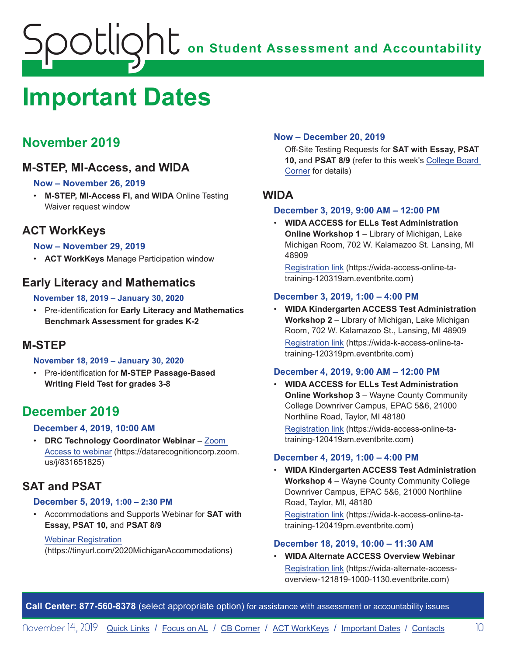# <span id="page-9-1"></span><span id="page-9-0"></span>**Important Dates**

# **November 2019**

# **M-STEP, MI-Access, and WIDA**

### **Now – November 26, 2019**

• **M-STEP, MI-Access FI, and WIDA** Online Testing Waiver request window

# **ACT WorkKeys**

### **Now – November 29, 2019**

• **ACT WorkKeys** Manage Participation window

### **Early Literacy and Mathematics**

### **November 18, 2019 – January 30, 2020**

• Pre-identification for **Early Literacy and Mathematics Benchmark Assessment for grades K-2**

## **M-STEP**

### **November 18, 2019 – January 30, 2020**

• Pre-identification for **M-STEP Passage-Based Writing Field Test for grades 3-8**

# **December 2019**

### **December 4, 2019, 10:00 AM**

• **DRC Technology Coordinator Webinar** – [Zoom](https://datarecognitioncorp.zoom.us/j/831651825)  [Access to webinar](https://datarecognitioncorp.zoom.us/j/831651825) (https://datarecognitioncorp.zoom. us/j/831651825)

# **SAT and PSAT**

### **December 5, 2019, 1:00 – 2:30 PM**

• Accommodations and Supports Webinar for **SAT with Essay, PSAT 10,** and **PSAT 8/9**

### Webinar [Registration](https://tinyurl.com/2020MichiganAccommodations)

(https://tinyurl.com/2020MichiganAccommodations)

### **Now – December 20, 2019**

Off-Site Testing Requests for **SAT with Essay, PSAT 10,** and **PSAT 8/9** (refer to this week's [College Board](#page-5-0)  [Corner](#page-5-0) for details)

### **WIDA**

### **December 3, 2019, 9:00 AM – 12:00 PM**

• **WIDA ACCESS for ELLs Test Administration Online Workshop 1** – Library of Michigan, Lake Michigan Room, 702 W. Kalamazoo St. Lansing, MI 48909

[Registration link](https://wida-access-online-ta-training-120319am.eventbrite.com) (https://wida-access-online-tatraining-120319am.eventbrite.com)

### **December 3, 2019, 1:00 – 4:00 PM**

• **WIDA Kindergarten ACCESS Test Administration Workshop 2** – Library of Michigan, Lake Michigan Room, 702 W. Kalamazoo St., Lansing, MI 48909 [Registration link](https://wida-k-access-online-ta-training-120319pm.eventbrite.com) (https://wida-k-access-online-tatraining-120319pm.eventbrite.com)

### **December 4, 2019, 9:00 AM – 12:00 PM**

• **WIDA ACCESS for ELLs Test Administration Online Workshop 3 – Wayne County Community** College Downriver Campus, EPAC 5&6, 21000 Northline Road, Taylor, MI 48180

[Registration link](https://wida-access-online-ta-training-120419am.eventbrite.com) (https://wida-access-online-tatraining-120419am.eventbrite.com)

### **December 4, 2019, 1:00 – 4:00 PM**

• **WIDA Kindergarten ACCESS Test Administration Workshop 4** – Wayne County Community College Downriver Campus, EPAC 5&6, 21000 Northline Road, Taylor, MI, 48180

[Registration link](https://wida-k-access-online-ta-training-120419pm.eventbrite.com) (https://wida-k-access-online-tatraining-120419pm.eventbrite.com)

### **December 18, 2019, 10:00 – 11:30 AM**

• **WIDA Alternate ACCESS Overview Webinar** [Registration link](https://wida-alternate-access-overview-121819-1000-1130.eventbrite.com) (https://wida-alternate-accessoverview-121819-1000-1130.eventbrite.com)

**Call Center: 877-560-8378** (select appropriate option) for assistance with assessment or accountability issues

November 14, 2019 [Quick Links](#page-0-0) / [Focus on AL](#page-4-0) / [CB Corner](#page-5-1) / [ACT WorkKeys](#page-7-0) / [Important Dates](#page-9-1) / [Contacts](#page-10-1) 10